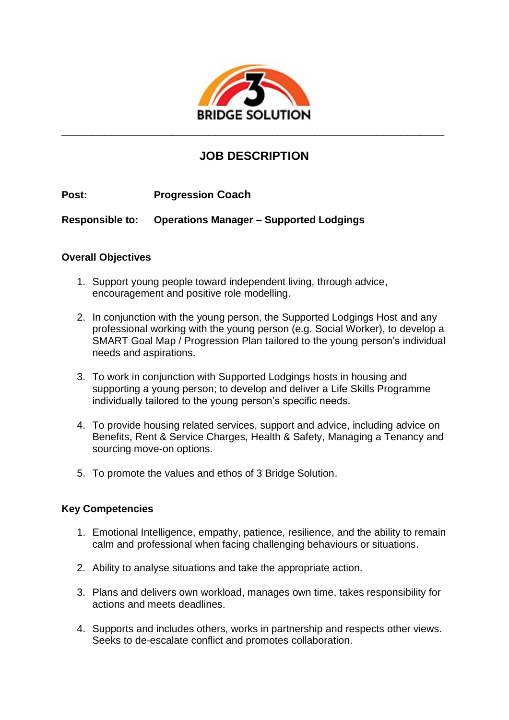

# **JOB DESCRIPTION**

**Post: Progression Coach**

**Responsible to: Operations Manager – Supported Lodgings**

#### **Overall Objectives**

- 1. Support young people toward independent living, through advice, encouragement and positive role modelling.
- 2. In conjunction with the young person, the Supported Lodgings Host and any professional working with the young person (e.g. Social Worker), to develop a SMART Goal Map / Progression Plan tailored to the young person's individual needs and aspirations.
- 3. To work in conjunction with Supported Lodgings hosts in housing and supporting a young person; to develop and deliver a Life Skills Programme individually tailored to the young person's specific needs.
- 4. To provide housing related services, support and advice, including advice on Benefits, Rent & Service Charges, Health & Safety, Managing a Tenancy and sourcing move-on options.
- 5. To promote the values and ethos of 3 Bridge Solution.

# **Key Competencies**

- 1. Emotional Intelligence, empathy, patience, resilience, and the ability to remain calm and professional when facing challenging behaviours or situations.
- 2. Ability to analyse situations and take the appropriate action.
- 3. Plans and delivers own workload, manages own time, takes responsibility for actions and meets deadlines.
- 4. Supports and includes others, works in partnership and respects other views. Seeks to de-escalate conflict and promotes collaboration.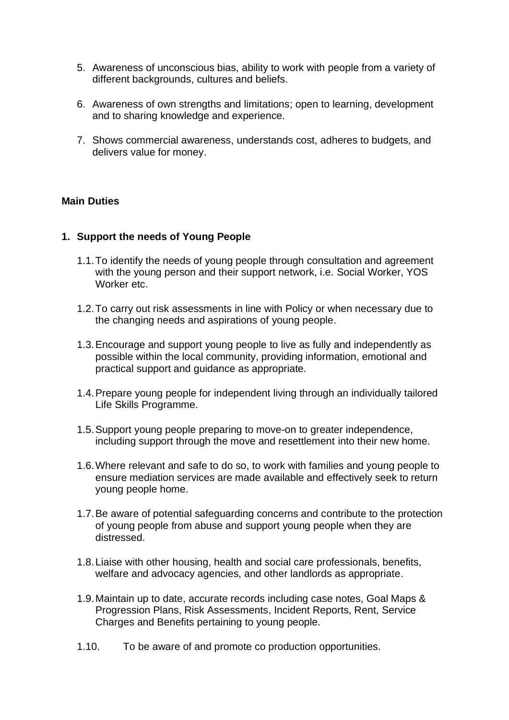- 5. Awareness of unconscious bias, ability to work with people from a variety of different backgrounds, cultures and beliefs.
- 6. Awareness of own strengths and limitations; open to learning, development and to sharing knowledge and experience.
- 7. Shows commercial awareness, understands cost, adheres to budgets, and delivers value for money.

#### **Main Duties**

#### **1. Support the needs of Young People**

- 1.1.To identify the needs of young people through consultation and agreement with the young person and their support network, i.e. Social Worker, YOS Worker etc.
- 1.2.To carry out risk assessments in line with Policy or when necessary due to the changing needs and aspirations of young people.
- 1.3.Encourage and support young people to live as fully and independently as possible within the local community, providing information, emotional and practical support and guidance as appropriate.
- 1.4.Prepare young people for independent living through an individually tailored Life Skills Programme.
- 1.5.Support young people preparing to move-on to greater independence, including support through the move and resettlement into their new home.
- 1.6.Where relevant and safe to do so, to work with families and young people to ensure mediation services are made available and effectively seek to return young people home.
- 1.7.Be aware of potential safeguarding concerns and contribute to the protection of young people from abuse and support young people when they are distressed.
- 1.8.Liaise with other housing, health and social care professionals, benefits, welfare and advocacy agencies, and other landlords as appropriate.
- 1.9.Maintain up to date, accurate records including case notes, Goal Maps & Progression Plans, Risk Assessments, Incident Reports, Rent, Service Charges and Benefits pertaining to young people.
- 1.10. To be aware of and promote co production opportunities.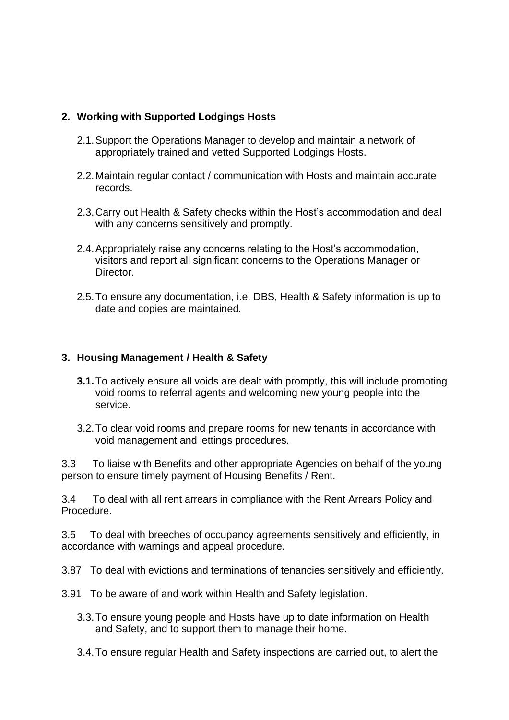### **2. Working with Supported Lodgings Hosts**

- 2.1.Support the Operations Manager to develop and maintain a network of appropriately trained and vetted Supported Lodgings Hosts.
- 2.2.Maintain regular contact / communication with Hosts and maintain accurate records.
- 2.3.Carry out Health & Safety checks within the Host's accommodation and deal with any concerns sensitively and promptly.
- 2.4.Appropriately raise any concerns relating to the Host's accommodation, visitors and report all significant concerns to the Operations Manager or Director.
- 2.5.To ensure any documentation, i.e. DBS, Health & Safety information is up to date and copies are maintained.

#### **3. Housing Management / Health & Safety**

- **3.1.**To actively ensure all voids are dealt with promptly, this will include promoting void rooms to referral agents and welcoming new young people into the service.
- 3.2.To clear void rooms and prepare rooms for new tenants in accordance with void management and lettings procedures.

3.3 To liaise with Benefits and other appropriate Agencies on behalf of the young person to ensure timely payment of Housing Benefits / Rent.

3.4 To deal with all rent arrears in compliance with the Rent Arrears Policy and Procedure.

3.5 To deal with breeches of occupancy agreements sensitively and efficiently, in accordance with warnings and appeal procedure.

3.87 To deal with evictions and terminations of tenancies sensitively and efficiently.

- 3.91 To be aware of and work within Health and Safety legislation.
	- 3.3.To ensure young people and Hosts have up to date information on Health and Safety, and to support them to manage their home.
	- 3.4.To ensure regular Health and Safety inspections are carried out, to alert the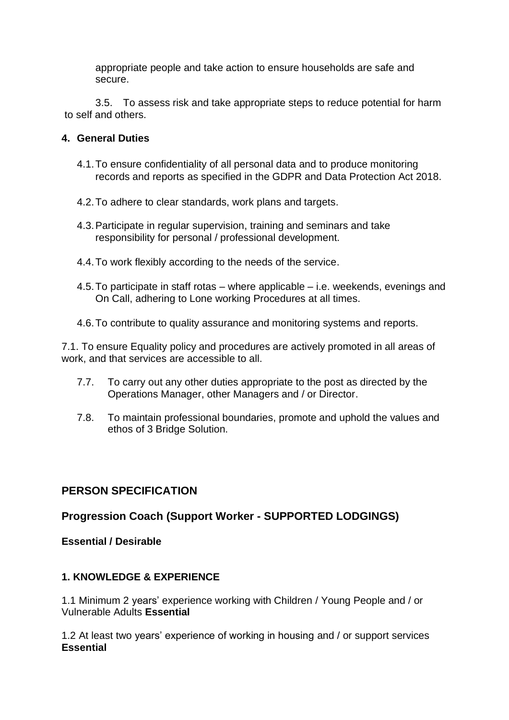appropriate people and take action to ensure households are safe and secure.

3.5. To assess risk and take appropriate steps to reduce potential for harm to self and others.

#### **4. General Duties**

- 4.1.To ensure confidentiality of all personal data and to produce monitoring records and reports as specified in the GDPR and Data Protection Act 2018.
- 4.2.To adhere to clear standards, work plans and targets.
- 4.3.Participate in regular supervision, training and seminars and take responsibility for personal / professional development.
- 4.4.To work flexibly according to the needs of the service.
- 4.5.To participate in staff rotas where applicable i.e. weekends, evenings and On Call, adhering to Lone working Procedures at all times.
- 4.6.To contribute to quality assurance and monitoring systems and reports.

7.1. To ensure Equality policy and procedures are actively promoted in all areas of work, and that services are accessible to all.

- 7.7. To carry out any other duties appropriate to the post as directed by the Operations Manager, other Managers and / or Director.
- 7.8. To maintain professional boundaries, promote and uphold the values and ethos of 3 Bridge Solution.

# **PERSON SPECIFICATION**

# **Progression Coach (Support Worker - SUPPORTED LODGINGS)**

**Essential / Desirable**

# **1. KNOWLEDGE & EXPERIENCE**

1.1 Minimum 2 years' experience working with Children / Young People and / or Vulnerable Adults **Essential**

1.2 At least two years' experience of working in housing and / or support services **Essential**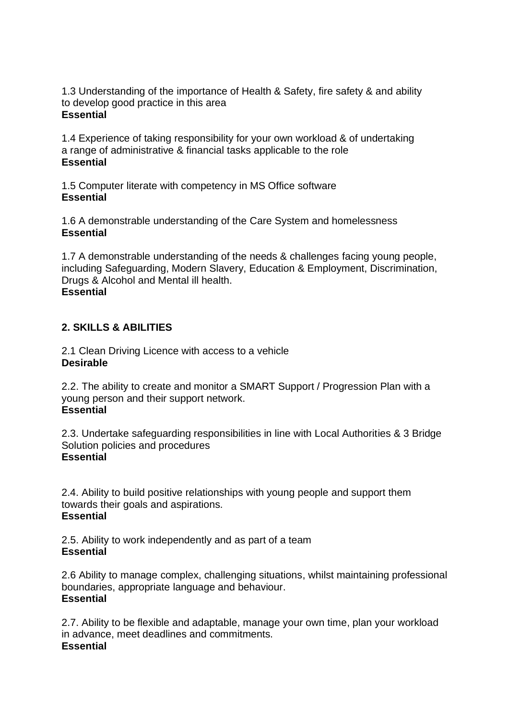1.3 Understanding of the importance of Health & Safety, fire safety & and ability to develop good practice in this area **Essential**

1.4 Experience of taking responsibility for your own workload & of undertaking a range of administrative & financial tasks applicable to the role **Essential**

1.5 Computer literate with competency in MS Office software **Essential**

1.6 A demonstrable understanding of the Care System and homelessness **Essential**

1.7 A demonstrable understanding of the needs & challenges facing young people, including Safeguarding, Modern Slavery, Education & Employment, Discrimination, Drugs & Alcohol and Mental ill health. **Essential**

# **2. SKILLS & ABILITIES**

2.1 Clean Driving Licence with access to a vehicle **Desirable**

2.2. The ability to create and monitor a SMART Support / Progression Plan with a young person and their support network. **Essential**

2.3. Undertake safeguarding responsibilities in line with Local Authorities & 3 Bridge Solution policies and procedures **Essential**

2.4. Ability to build positive relationships with young people and support them towards their goals and aspirations. **Essential**

2.5. Ability to work independently and as part of a team **Essential**

2.6 Ability to manage complex, challenging situations, whilst maintaining professional boundaries, appropriate language and behaviour. **Essential**

2.7. Ability to be flexible and adaptable, manage your own time, plan your workload in advance, meet deadlines and commitments. **Essential**